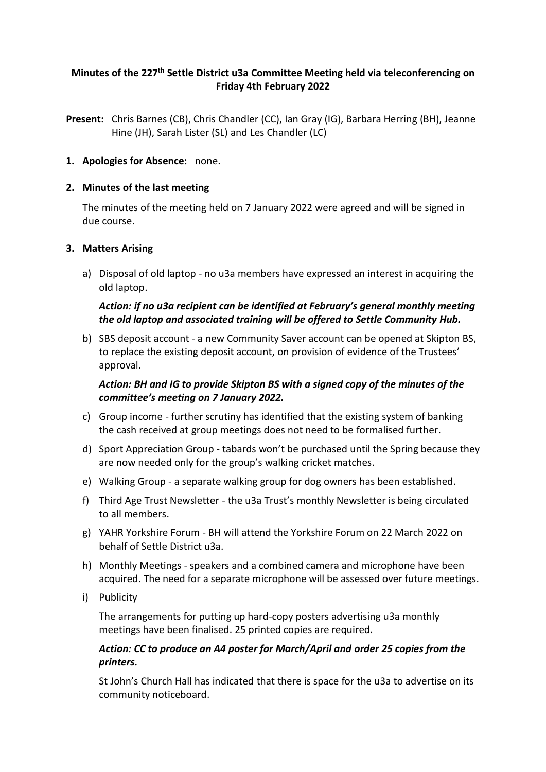### **Minutes of the 227 th Settle District u3a Committee Meeting held via teleconferencing on Friday 4th February 2022**

**Present:** Chris Barnes (CB), Chris Chandler (CC), Ian Gray (IG), Barbara Herring (BH), Jeanne Hine (JH), Sarah Lister (SL) and Les Chandler (LC)

#### **1. Apologies for Absence:** none.

#### **2. Minutes of the last meeting**

The minutes of the meeting held on 7 January 2022 were agreed and will be signed in due course.

#### **3. Matters Arising**

a) Disposal of old laptop - no u3a members have expressed an interest in acquiring the old laptop.

## *Action: if no u3a recipient can be identified at February's general monthly meeting the old laptop and associated training will be offered to Settle Community Hub.*

b) SBS deposit account - a new Community Saver account can be opened at Skipton BS, to replace the existing deposit account, on provision of evidence of the Trustees' approval.

### *Action: BH and IG to provide Skipton BS with a signed copy of the minutes of the committee's meeting on 7 January 2022.*

- c) Group income further scrutiny has identified that the existing system of banking the cash received at group meetings does not need to be formalised further.
- d) Sport Appreciation Group tabards won't be purchased until the Spring because they are now needed only for the group's walking cricket matches.
- e) Walking Group a separate walking group for dog owners has been established.
- f) Third Age Trust Newsletter the u3a Trust's monthly Newsletter is being circulated to all members.
- g) YAHR Yorkshire Forum BH will attend the Yorkshire Forum on 22 March 2022 on behalf of Settle District u3a.
- h) Monthly Meetings speakers and a combined camera and microphone have been acquired. The need for a separate microphone will be assessed over future meetings.
- i) Publicity

The arrangements for putting up hard-copy posters advertising u3a monthly meetings have been finalised. 25 printed copies are required.

### *Action: CC to produce an A4 poster for March/April and order 25 copies from the printers.*

St John's Church Hall has indicated that there is space for the u3a to advertise on its community noticeboard.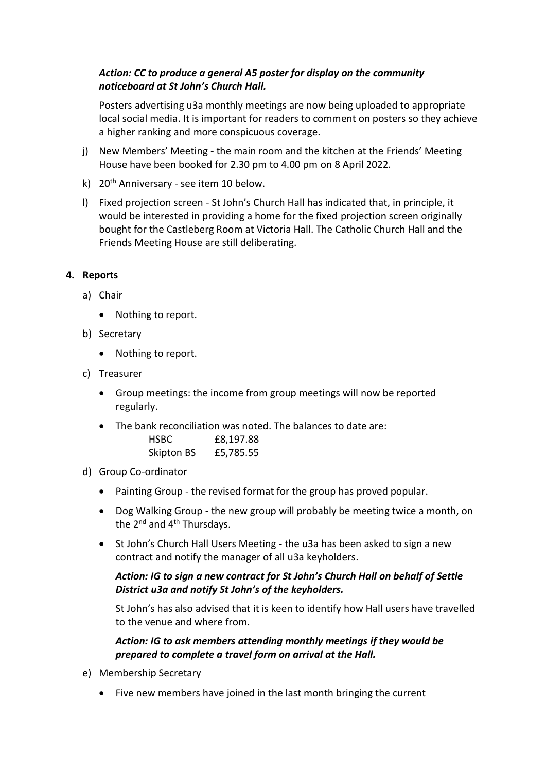## *Action: CC to produce a general A5 poster for display on the community noticeboard at St John's Church Hall.*

Posters advertising u3a monthly meetings are now being uploaded to appropriate local social media. It is important for readers to comment on posters so they achieve a higher ranking and more conspicuous coverage.

- j) New Members' Meeting the main room and the kitchen at the Friends' Meeting House have been booked for 2.30 pm to 4.00 pm on 8 April 2022.
- k) 20<sup>th</sup> Anniversary see item 10 below.
- l) Fixed projection screen St John's Church Hall has indicated that, in principle, it would be interested in providing a home for the fixed projection screen originally bought for the Castleberg Room at Victoria Hall. The Catholic Church Hall and the Friends Meeting House are still deliberating.

#### **4. Reports**

- a) Chair
	- Nothing to report.
- b) Secretary
	- Nothing to report.
- c) Treasurer
	- Group meetings: the income from group meetings will now be reported regularly.
	- The bank reconciliation was noted. The balances to date are: HSBC £8,197.88

| Skipton BS | £5,785.55 |
|------------|-----------|
|------------|-----------|

- d) Group Co-ordinator
	- Painting Group the revised format for the group has proved popular.
	- Dog Walking Group the new group will probably be meeting twice a month, on the 2<sup>nd</sup> and 4<sup>th</sup> Thursdays.
	- St John's Church Hall Users Meeting the u3a has been asked to sign a new contract and notify the manager of all u3a keyholders.

### *Action: IG to sign a new contract for St John's Church Hall on behalf of Settle District u3a and notify St John's of the keyholders.*

St John's has also advised that it is keen to identify how Hall users have travelled to the venue and where from.

### *Action: IG to ask members attending monthly meetings if they would be prepared to complete a travel form on arrival at the Hall.*

- e) Membership Secretary
	- Five new members have joined in the last month bringing the current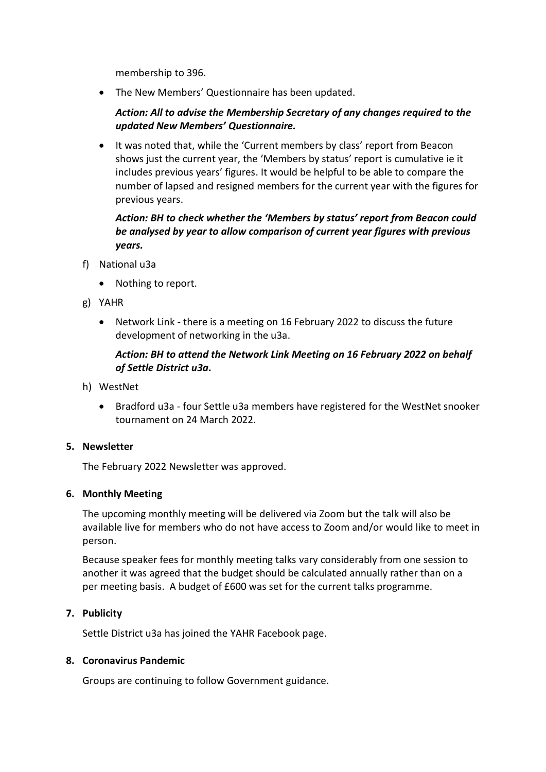membership to 396.

• The New Members' Questionnaire has been updated.

### *Action: All to advise the Membership Secretary of any changes required to the updated New Members' Questionnaire.*

• It was noted that, while the 'Current members by class' report from Beacon shows just the current year, the 'Members by status' report is cumulative ie it includes previous years' figures. It would be helpful to be able to compare the number of lapsed and resigned members for the current year with the figures for previous years.

### *Action: BH to check whether the 'Members by status' report from Beacon could be analysed by year to allow comparison of current year figures with previous years.*

- f) National u3a
	- Nothing to report.
- g) YAHR
	- Network Link there is a meeting on 16 February 2022 to discuss the future development of networking in the u3a.

### *Action: BH to attend the Network Link Meeting on 16 February 2022 on behalf of Settle District u3a.*

- h) WestNet
	- Bradford u3a four Settle u3a members have registered for the WestNet snooker tournament on 24 March 2022.

#### **5. Newsletter**

The February 2022 Newsletter was approved.

#### **6. Monthly Meeting**

The upcoming monthly meeting will be delivered via Zoom but the talk will also be available live for members who do not have access to Zoom and/or would like to meet in person.

Because speaker fees for monthly meeting talks vary considerably from one session to another it was agreed that the budget should be calculated annually rather than on a per meeting basis. A budget of £600 was set for the current talks programme.

#### **7. Publicity**

Settle District u3a has joined the YAHR Facebook page.

#### **8. Coronavirus Pandemic**

Groups are continuing to follow Government guidance.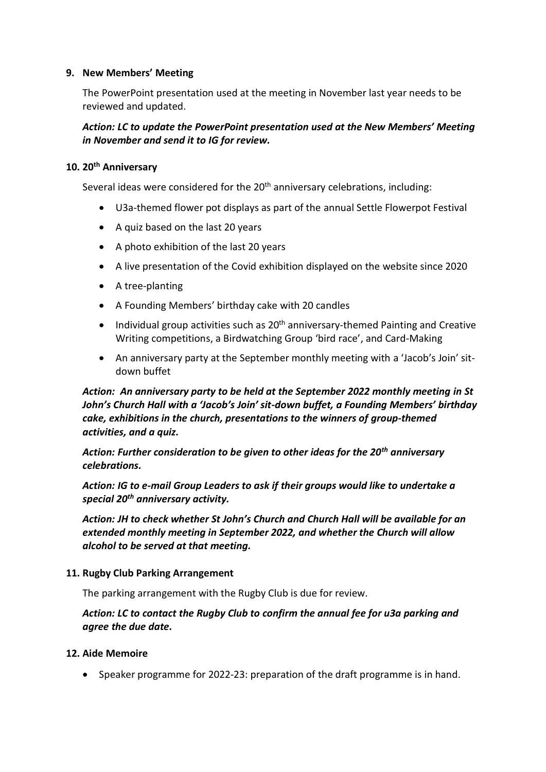#### **9. New Members' Meeting**

The PowerPoint presentation used at the meeting in November last year needs to be reviewed and updated.

### *Action: LC to update the PowerPoint presentation used at the New Members' Meeting in November and send it to IG for review.*

#### **10. 20th Anniversary**

Several ideas were considered for the 20<sup>th</sup> anniversary celebrations, including:

- U3a-themed flower pot displays as part of the annual Settle Flowerpot Festival
- A quiz based on the last 20 years
- A photo exhibition of the last 20 years
- A live presentation of the Covid exhibition displayed on the website since 2020
- A tree-planting
- A Founding Members' birthday cake with 20 candles
- Individual group activities such as  $20<sup>th</sup>$  anniversary-themed Painting and Creative Writing competitions, a Birdwatching Group 'bird race', and Card-Making
- An anniversary party at the September monthly meeting with a 'Jacob's Join' sitdown buffet

*Action: An anniversary party to be held at the September 2022 monthly meeting in St John's Church Hall with a 'Jacob's Join' sit-down buffet, a Founding Members' birthday cake, exhibitions in the church, presentations to the winners of group-themed activities, and a quiz.*

*Action: Further consideration to be given to other ideas for the 20th anniversary celebrations.* 

*Action: IG to e-mail Group Leaders to ask if their groups would like to undertake a special 20th anniversary activity.*

*Action: JH to check whether St John's Church and Church Hall will be available for an extended monthly meeting in September 2022, and whether the Church will allow alcohol to be served at that meeting.* 

#### **11. Rugby Club Parking Arrangement**

The parking arrangement with the Rugby Club is due for review.

### *Action: LC to contact the Rugby Club to confirm the annual fee for u3a parking and agree the due date.*

#### **12. Aide Memoire**

• Speaker programme for 2022-23: preparation of the draft programme is in hand.